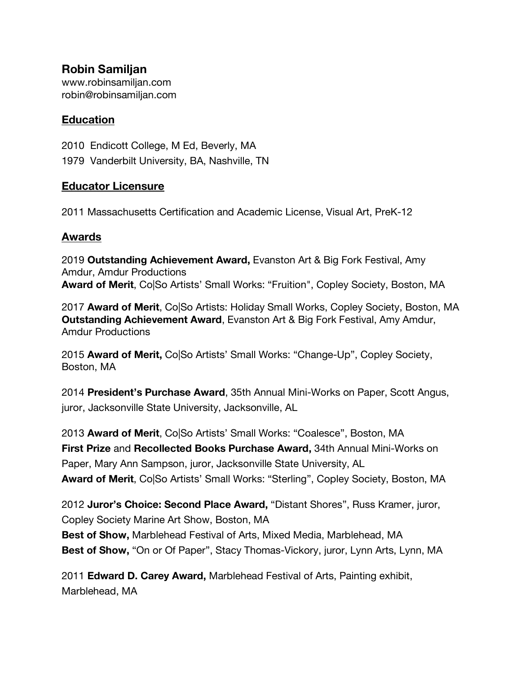**Robin Samiljan**  www.robinsamiljan.com robin@robinsamiljan.com

## **Education**

2010 Endicott College, M Ed, Beverly, MA 1979 Vanderbilt University, BA, Nashville, TN

## **Educator Licensure**

2011 Massachusetts Certification and Academic License, Visual Art, PreK-12

## **Awards**

2019 **Outstanding Achievement Award,** Evanston Art & Big Fork Festival, Amy Amdur, Amdur Productions **Award of Merit**, Co|So Artists' Small Works: "Fruition", Copley Society, Boston, MA

2017 **Award of Merit**, Co|So Artists: Holiday Small Works, Copley Society, Boston, MA **Outstanding Achievement Award**, Evanston Art & Big Fork Festival, Amy Amdur, Amdur Productions

2015 **Award of Merit,** Co|So Artists' Small Works: "Change-Up", Copley Society, Boston, MA

2014 **President's Purchase Award**, 35th Annual Mini-Works on Paper, Scott Angus, juror, Jacksonville State University, Jacksonville, AL

2013 **Award of Merit**, Co|So Artists' Small Works: "Coalesce", Boston, MA **First Prize** and **Recollected Books Purchase Award,** 34th Annual Mini-Works on Paper, Mary Ann Sampson, juror, Jacksonville State University, AL **Award of Merit**, Co|So Artists' Small Works: "Sterling", Copley Society, Boston, MA

2012 **Juror's Choice: Second Place Award,** "Distant Shores", Russ Kramer, juror, Copley Society Marine Art Show, Boston, MA

**Best of Show,** Marblehead Festival of Arts, Mixed Media, Marblehead, MA **Best of Show,** "On or Of Paper", Stacy Thomas-Vickory, juror, Lynn Arts, Lynn, MA

2011 **Edward D. Carey Award,** Marblehead Festival of Arts, Painting exhibit, Marblehead, MA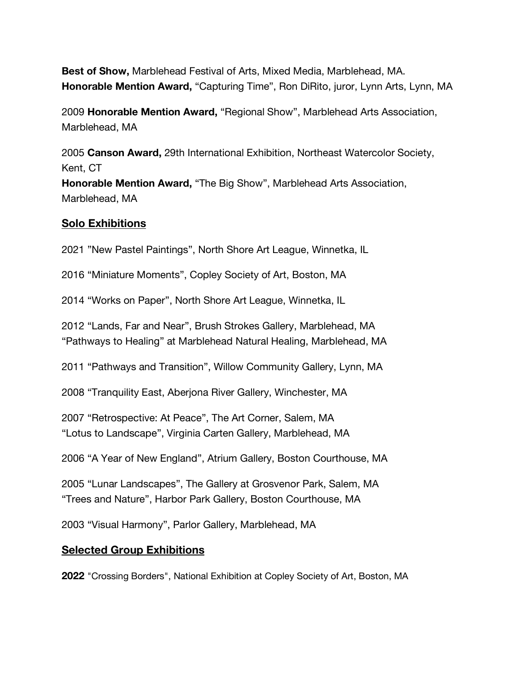**Best of Show,** Marblehead Festival of Arts, Mixed Media, Marblehead, MA. **Honorable Mention Award,** "Capturing Time", Ron DiRito, juror, Lynn Arts, Lynn, MA

2009 **Honorable Mention Award,** "Regional Show", Marblehead Arts Association, Marblehead, MA

2005 **Canson Award,** 29th International Exhibition, Northeast Watercolor Society, Kent, CT

**Honorable Mention Award,** "The Big Show", Marblehead Arts Association, Marblehead, MA

## **Solo Exhibitions**

2021 "New Pastel Paintings", North Shore Art League, Winnetka, IL

2016 "Miniature Moments", Copley Society of Art, Boston, MA

2014 "Works on Paper", North Shore Art League, Winnetka, IL

2012 "Lands, Far and Near", Brush Strokes Gallery, Marblehead, MA "Pathways to Healing" at Marblehead Natural Healing, Marblehead, MA

2011 "Pathways and Transition", Willow Community Gallery, Lynn, MA

2008 "Tranquility East, Aberjona River Gallery, Winchester, MA

2007 "Retrospective: At Peace", The Art Corner, Salem, MA "Lotus to Landscape", Virginia Carten Gallery, Marblehead, MA

2006 "A Year of New England", Atrium Gallery, Boston Courthouse, MA

2005 "Lunar Landscapes", The Gallery at Grosvenor Park, Salem, MA "Trees and Nature", Harbor Park Gallery, Boston Courthouse, MA

2003 "Visual Harmony", Parlor Gallery, Marblehead, MA

### **Selected Group Exhibitions**

**2022** "Crossing Borders", National Exhibition at Copley Society of Art, Boston, MA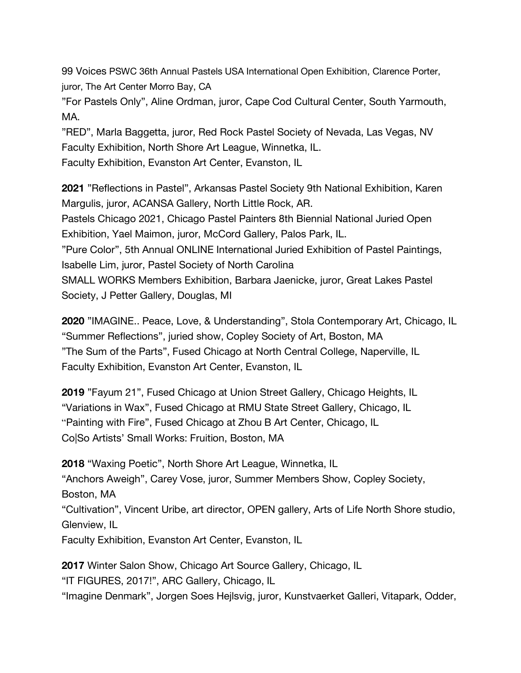99 Voices PSWC 36th Annual Pastels USA International Open Exhibition, Clarence Porter, juror, The Art Center Morro Bay, CA

"For Pastels Only", Aline Ordman, juror, Cape Cod Cultural Center, South Yarmouth, MA.

"RED", Marla Baggetta, juror, Red Rock Pastel Society of Nevada, Las Vegas, NV Faculty Exhibition, North Shore Art League, Winnetka, IL.

Faculty Exhibition, Evanston Art Center, Evanston, IL

**2021** "Reflections in Pastel", Arkansas Pastel Society 9th National Exhibition, Karen Margulis, juror, ACANSA Gallery, North Little Rock, AR.

Pastels Chicago 2021, Chicago Pastel Painters 8th Biennial National Juried Open Exhibition, Yael Maimon, juror, McCord Gallery, Palos Park, IL.

"Pure Color", 5th Annual ONLINE International Juried Exhibition of Pastel Paintings, Isabelle Lim, juror, Pastel Society of North Carolina

SMALL WORKS Members Exhibition, Barbara Jaenicke, juror, Great Lakes Pastel Society, J Petter Gallery, Douglas, MI

**2020** "IMAGINE.. Peace, Love, & Understanding", Stola Contemporary Art, Chicago, IL "Summer Reflections", juried show, Copley Society of Art, Boston, MA "The Sum of the Parts", Fused Chicago at North Central College, Naperville, IL Faculty Exhibition, Evanston Art Center, Evanston, IL

**2019** "Fayum 21", Fused Chicago at Union Street Gallery, Chicago Heights, IL "Variations in Wax", Fused Chicago at RMU State Street Gallery, Chicago, IL "Painting with Fire", Fused Chicago at Zhou B Art Center, Chicago, IL Co|So Artists' Small Works: Fruition, Boston, MA

**2018** "Waxing Poetic", North Shore Art League, Winnetka, IL "Anchors Aweigh", Carey Vose, juror, Summer Members Show, Copley Society, Boston, MA "Cultivation", Vincent Uribe, art director, OPEN gallery, Arts of Life North Shore studio, Glenview, IL Faculty Exhibition, Evanston Art Center, Evanston, IL

**2017** Winter Salon Show, Chicago Art Source Gallery, Chicago, IL "IT FIGURES, 2017!", ARC Gallery, Chicago, IL "Imagine Denmark", Jorgen Soes Hejlsvig, juror, Kunstvaerket Galleri, Vitapark, Odder,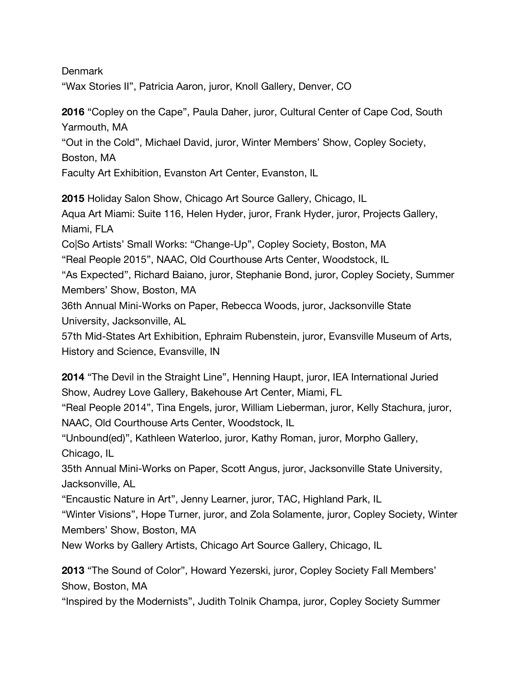Denmark

"Wax Stories II", Patricia Aaron, juror, Knoll Gallery, Denver, CO

**2016** "Copley on the Cape", Paula Daher, juror, Cultural Center of Cape Cod, South Yarmouth, MA

"Out in the Cold", Michael David, juror, Winter Members' Show, Copley Society,

Boston, MA

Faculty Art Exhibition, Evanston Art Center, Evanston, IL

**2015** Holiday Salon Show, Chicago Art Source Gallery, Chicago, IL Aqua Art Miami: Suite 116, Helen Hyder, juror, Frank Hyder, juror, Projects Gallery, Miami, FLA Co|So Artists' Small Works: "Change-Up", Copley Society, Boston, MA "Real People 2015", NAAC, Old Courthouse Arts Center, Woodstock, IL "As Expected", Richard Baiano, juror, Stephanie Bond, juror, Copley Society, Summer Members' Show, Boston, MA 36th Annual Mini-Works on Paper, Rebecca Woods, juror, Jacksonville State University, Jacksonville, AL 57th Mid-States Art Exhibition, Ephraim Rubenstein, juror, Evansville Museum of Arts, History and Science, Evansville, IN

**2014** "The Devil in the Straight Line", Henning Haupt, juror, IEA International Juried Show, Audrey Love Gallery, Bakehouse Art Center, Miami, FL

"Real People 2014", Tina Engels, juror, William Lieberman, juror, Kelly Stachura, juror, NAAC, Old Courthouse Arts Center, Woodstock, IL

"Unbound(ed)", Kathleen Waterloo, juror, Kathy Roman, juror, Morpho Gallery, Chicago, IL

35th Annual Mini-Works on Paper, Scott Angus, juror, Jacksonville State University, Jacksonville, AL

"Encaustic Nature in Art", Jenny Learner, juror, TAC, Highland Park, IL

"Winter Visions", Hope Turner, juror, and Zola Solamente, juror, Copley Society, Winter Members' Show, Boston, MA

New Works by Gallery Artists, Chicago Art Source Gallery, Chicago, IL

**2013** "The Sound of Color", Howard Yezerski, juror, Copley Society Fall Members' Show, Boston, MA

"Inspired by the Modernists", Judith Tolnik Champa, juror, Copley Society Summer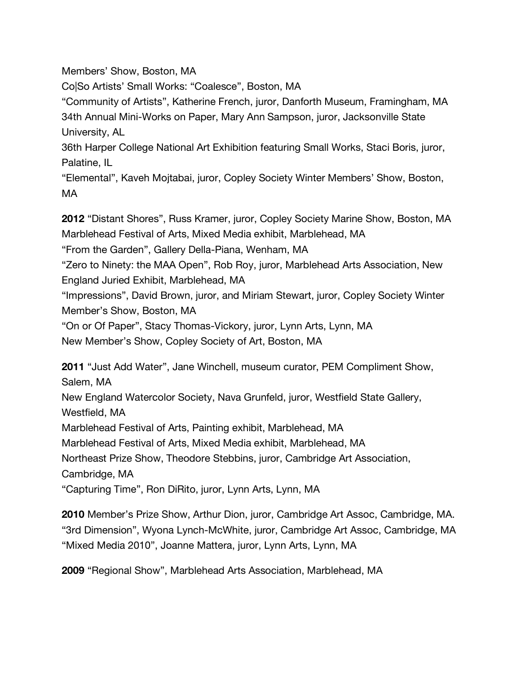Members' Show, Boston, MA

Co|So Artists' Small Works: "Coalesce", Boston, MA

"Community of Artists", Katherine French, juror, Danforth Museum, Framingham, MA 34th Annual Mini-Works on Paper, Mary Ann Sampson, juror, Jacksonville State University, AL

36th Harper College National Art Exhibition featuring Small Works, Staci Boris, juror, Palatine, IL

"Elemental", Kaveh Mojtabai, juror, Copley Society Winter Members' Show, Boston, MA

**2012** "Distant Shores", Russ Kramer, juror, Copley Society Marine Show, Boston, MA Marblehead Festival of Arts, Mixed Media exhibit, Marblehead, MA

"From the Garden", Gallery Della-Piana, Wenham, MA

"Zero to Ninety: the MAA Open", Rob Roy, juror, Marblehead Arts Association, New England Juried Exhibit, Marblehead, MA

"Impressions", David Brown, juror, and Miriam Stewart, juror, Copley Society Winter Member's Show, Boston, MA

"On or Of Paper", Stacy Thomas-Vickory, juror, Lynn Arts, Lynn, MA

New Member's Show, Copley Society of Art, Boston, MA

**2011** "Just Add Water", Jane Winchell, museum curator, PEM Compliment Show, Salem, MA

New England Watercolor Society, Nava Grunfeld, juror, Westfield State Gallery, Westfield, MA

Marblehead Festival of Arts, Painting exhibit, Marblehead, MA

Marblehead Festival of Arts, Mixed Media exhibit, Marblehead, MA

Northeast Prize Show, Theodore Stebbins, juror, Cambridge Art Association,

Cambridge, MA

"Capturing Time", Ron DiRito, juror, Lynn Arts, Lynn, MA

**2010** Member's Prize Show, Arthur Dion, juror, Cambridge Art Assoc, Cambridge, MA. "3rd Dimension", Wyona Lynch-McWhite, juror, Cambridge Art Assoc, Cambridge, MA "Mixed Media 2010", Joanne Mattera, juror, Lynn Arts, Lynn, MA

**2009** "Regional Show", Marblehead Arts Association, Marblehead, MA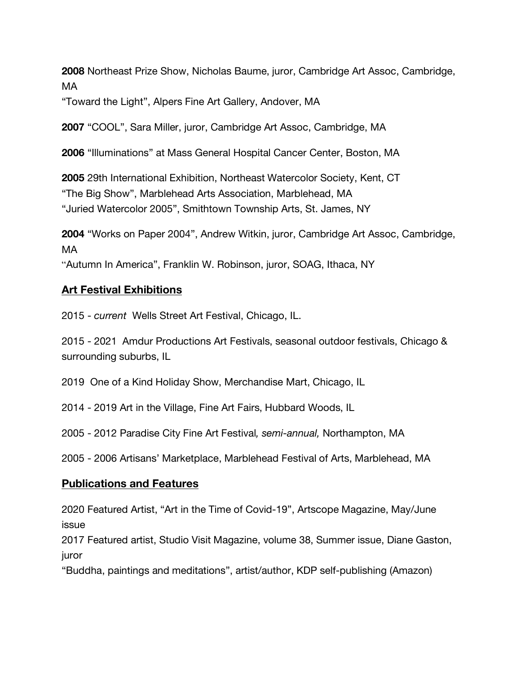**2008** Northeast Prize Show, Nicholas Baume, juror, Cambridge Art Assoc, Cambridge, MA

"Toward the Light", Alpers Fine Art Gallery, Andover, MA

**2007** "COOL", Sara Miller, juror, Cambridge Art Assoc, Cambridge, MA

**2006** "Illuminations" at Mass General Hospital Cancer Center, Boston, MA

**2005** 29th International Exhibition, Northeast Watercolor Society, Kent, CT "The Big Show", Marblehead Arts Association, Marblehead, MA "Juried Watercolor 2005", Smithtown Township Arts, St. James, NY

**2004** "Works on Paper 2004", Andrew Witkin, juror, Cambridge Art Assoc, Cambridge, MA

"Autumn In America", Franklin W. Robinson, juror, SOAG, Ithaca, NY

### **Art Festival Exhibitions**

2015 - *current* Wells Street Art Festival, Chicago, IL.

2015 - 2021 Amdur Productions Art Festivals, seasonal outdoor festivals, Chicago & surrounding suburbs, IL

2019 One of a Kind Holiday Show, Merchandise Mart, Chicago, IL

2014 - 2019 Art in the Village, Fine Art Fairs, Hubbard Woods, IL

2005 - 2012 Paradise City Fine Art Festival*, semi-annual,* Northampton, MA

2005 - 2006 Artisans' Marketplace, Marblehead Festival of Arts, Marblehead, MA

### **Publications and Features**

2020 Featured Artist, "Art in the Time of Covid-19", Artscope Magazine, May/June issue

2017 Featured artist, Studio Visit Magazine, volume 38, Summer issue, Diane Gaston, juror

"Buddha, paintings and meditations", artist/author, KDP self-publishing (Amazon)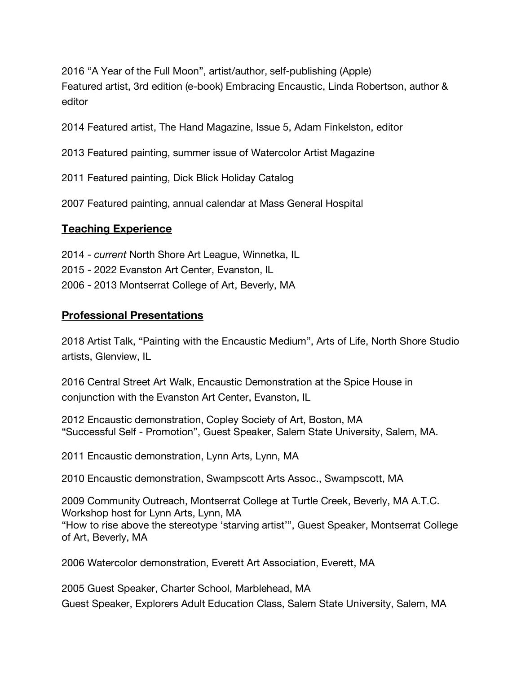2016 "A Year of the Full Moon", artist/author, self-publishing (Apple) Featured artist, 3rd edition (e-book) Embracing Encaustic, Linda Robertson, author & editor

2014 Featured artist, The Hand Magazine, Issue 5, Adam Finkelston, editor

2013 Featured painting, summer issue of Watercolor Artist Magazine

2011 Featured painting, Dick Blick Holiday Catalog

2007 Featured painting, annual calendar at Mass General Hospital

#### **Teaching Experience**

2014 - *current* North Shore Art League, Winnetka, IL

2015 - 2022 Evanston Art Center, Evanston, IL

2006 - 2013 Montserrat College of Art, Beverly, MA

### **Professional Presentations**

2018 Artist Talk, "Painting with the Encaustic Medium", Arts of Life, North Shore Studio artists, Glenview, IL

2016 Central Street Art Walk, Encaustic Demonstration at the Spice House in conjunction with the Evanston Art Center, Evanston, IL

2012 Encaustic demonstration, Copley Society of Art, Boston, MA "Successful Self - Promotion", Guest Speaker, Salem State University, Salem, MA.

2011 Encaustic demonstration, Lynn Arts, Lynn, MA

2010 Encaustic demonstration, Swampscott Arts Assoc., Swampscott, MA

2009 Community Outreach, Montserrat College at Turtle Creek, Beverly, MA A.T.C. Workshop host for Lynn Arts, Lynn, MA "How to rise above the stereotype 'starving artist'", Guest Speaker, Montserrat College of Art, Beverly, MA

2006 Watercolor demonstration, Everett Art Association, Everett, MA

2005 Guest Speaker, Charter School, Marblehead, MA Guest Speaker, Explorers Adult Education Class, Salem State University, Salem, MA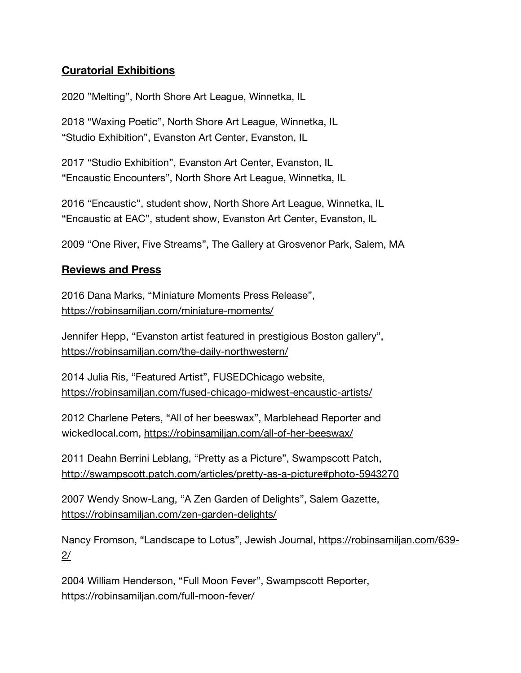## **Curatorial Exhibitions**

2020 "Melting", North Shore Art League, Winnetka, IL

2018 "Waxing Poetic", North Shore Art League, Winnetka, IL "Studio Exhibition", Evanston Art Center, Evanston, IL

2017 "Studio Exhibition", Evanston Art Center, Evanston, IL "Encaustic Encounters", North Shore Art League, Winnetka, IL

2016 "Encaustic", student show, North Shore Art League, Winnetka, IL "Encaustic at EAC", student show, Evanston Art Center, Evanston, IL

2009 "One River, Five Streams", The Gallery at Grosvenor Park, Salem, MA

### **Reviews and Press**

2016 Dana Marks, "Miniature Moments Press Release", https://robinsamiljan.com/miniature-moments/

Jennifer Hepp, "Evanston artist featured in prestigious Boston gallery", https://robinsamiljan.com/the-daily-northwestern/

2014 Julia Ris, "Featured Artist", FUSEDChicago website, https://robinsamiljan.com/fused-chicago-midwest-encaustic-artists/

2012 Charlene Peters, "All of her beeswax", Marblehead Reporter and wickedlocal.com, https://robinsamiljan.com/all-of-her-beeswax/

2011 Deahn Berrini Leblang, "Pretty as a Picture", Swampscott Patch, http://swampscott.patch.com/articles/pretty-as-a-picture#photo-5943270

2007 Wendy Snow-Lang, "A Zen Garden of Delights", Salem Gazette, https://robinsamiljan.com/zen-garden-delights/

Nancy Fromson, "Landscape to Lotus", Jewish Journal, https://robinsamiljan.com/639-  $2/$ 

2004 William Henderson, "Full Moon Fever", Swampscott Reporter, https://robinsamiljan.com/full-moon-fever/